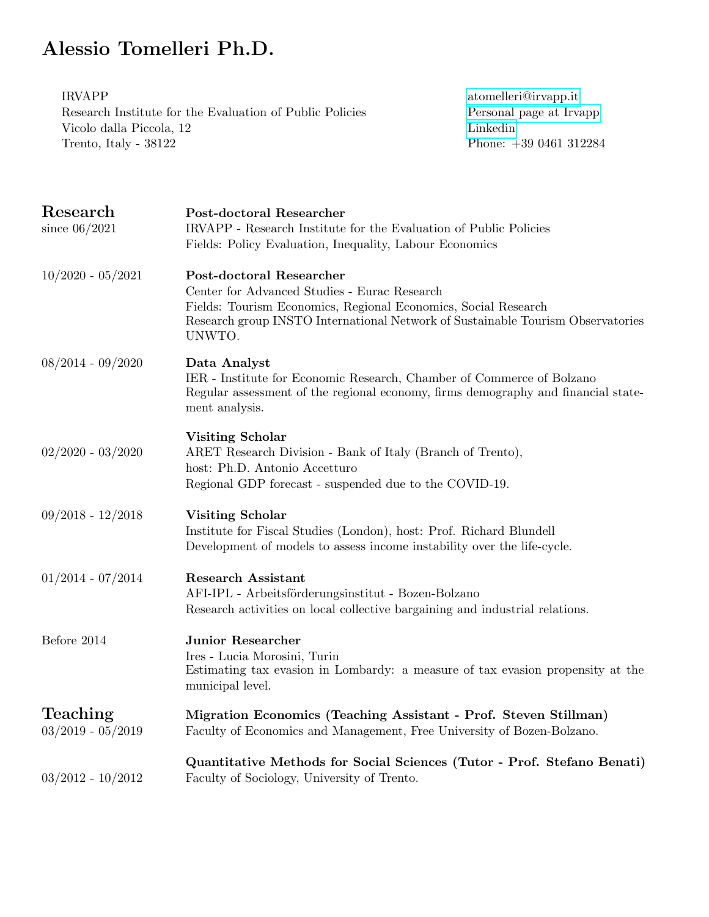## Alessio Tomelleri Ph.D.

| <b>IRVAPP</b><br>atomelleri@irvapp.it<br>Research Institute for the Evaluation of Public Policies<br>Personal page at Irvapp<br>Linkedin<br>Vicolo dalla Piccola, 12<br>Phone: $+390461312284$<br>Trento, Italy - 38122                        |  |
|------------------------------------------------------------------------------------------------------------------------------------------------------------------------------------------------------------------------------------------------|--|
| Post-doctoral Researcher<br>IRVAPP - Research Institute for the Evaluation of Public Policies<br>Fields: Policy Evaluation, Inequality, Labour Economics                                                                                       |  |
| <b>Post-doctoral Researcher</b><br>Center for Advanced Studies - Eurac Research<br>Fields: Tourism Economics, Regional Economics, Social Research<br>Research group INSTO International Network of Sustainable Tourism Observatories<br>UNWTO. |  |
| Data Analyst<br>IER - Institute for Economic Research, Chamber of Commerce of Bolzano<br>Regular assessment of the regional economy, firms demography and financial state-<br>ment analysis.                                                   |  |
| <b>Visiting Scholar</b><br>ARET Research Division - Bank of Italy (Branch of Trento),<br>host: Ph.D. Antonio Accetturo<br>Regional GDP forecast - suspended due to the COVID-19.                                                               |  |
| <b>Visiting Scholar</b><br>Institute for Fiscal Studies (London), host: Prof. Richard Blundell<br>Development of models to assess income instability over the life-cycle.                                                                      |  |
| <b>Research Assistant</b><br>$\operatorname{AFI-IPL}$ - Arbeitsförderungsinstitut - Bozen-Bolzano<br>Research activities on local collective bargaining and industrial relations.                                                              |  |
| <b>Junior Researcher</b><br>Ires - Lucia Morosini, Turin<br>Estimating tax evasion in Lombardy: a measure of tax evasion propensity at the<br>municipal level.                                                                                 |  |
| Migration Economics (Teaching Assistant - Prof. Steven Stillman)<br>Faculty of Economics and Management, Free University of Bozen-Bolzano.                                                                                                     |  |
| Quantitative Methods for Social Sciences (Tutor - Prof. Stefano Benati)<br>Faculty of Sociology, University of Trento.                                                                                                                         |  |
|                                                                                                                                                                                                                                                |  |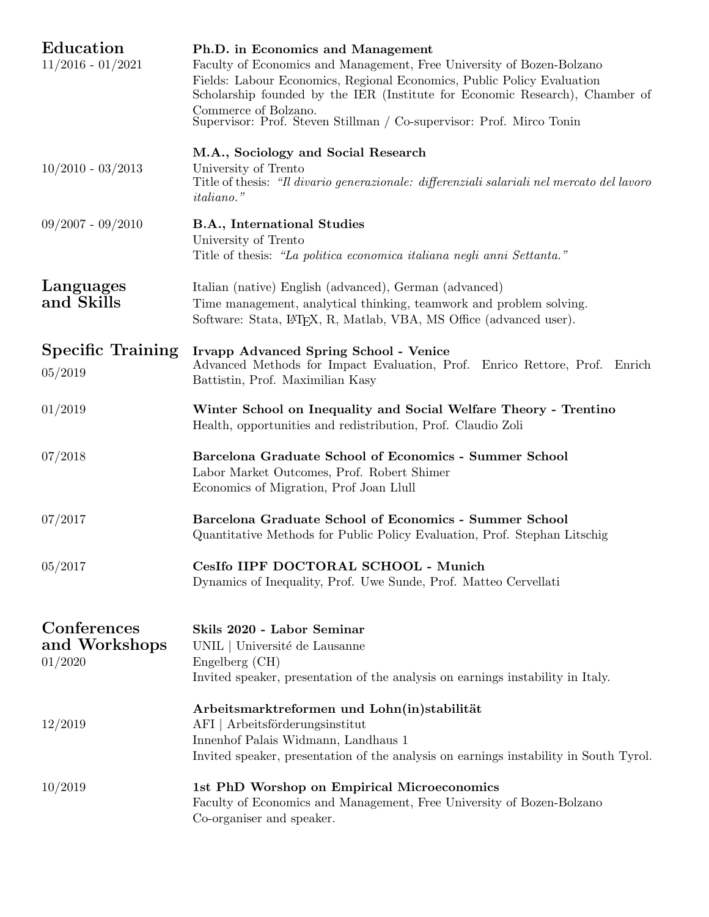| Education<br>$11/2016 - 01/2021$        | Ph.D. in Economics and Management<br>Faculty of Economics and Management, Free University of Bozen-Bolzano<br>Fields: Labour Economics, Regional Economics, Public Policy Evaluation<br>Scholarship founded by the IER (Institute for Economic Research), Chamber of<br>Commerce of Bolzano. |
|-----------------------------------------|----------------------------------------------------------------------------------------------------------------------------------------------------------------------------------------------------------------------------------------------------------------------------------------------|
| $10/2010 - 03/2013$                     | Supervisor: Prof. Steven Stillman / Co-supervisor: Prof. Mirco Tonin<br>M.A., Sociology and Social Research<br>University of Trento<br>Title of thesis: "Il divario generazionale: differenziali salariali nel mercato del lavoro<br><i>italiano.</i> "                                      |
| $09/2007 - 09/2010$                     | B.A., International Studies<br>University of Trento<br>Title of thesis: "La politica economica italiana negli anni Settanta."                                                                                                                                                                |
| Languages<br>and Skills                 | Italian (native) English (advanced), German (advanced)<br>Time management, analytical thinking, teamwork and problem solving.<br>Software: Stata, LATFX, R, Matlab, VBA, MS Office (advanced user).                                                                                          |
| <b>Specific Training</b><br>05/2019     | <b>Irvapp Advanced Spring School - Venice</b><br>Advanced Methods for Impact Evaluation, Prof. Enrico Rettore, Prof. Enrich<br>Battistin, Prof. Maximilian Kasy                                                                                                                              |
| 01/2019                                 | Winter School on Inequality and Social Welfare Theory - Trentino<br>Health, opportunities and redistribution, Prof. Claudio Zoli                                                                                                                                                             |
| 07/2018                                 | Barcelona Graduate School of Economics - Summer School<br>Labor Market Outcomes, Prof. Robert Shimer<br>Economics of Migration, Prof Joan Llull                                                                                                                                              |
| 07/2017                                 | Barcelona Graduate School of Economics - Summer School<br>Quantitative Methods for Public Policy Evaluation, Prof. Stephan Litschig                                                                                                                                                          |
| 05/2017                                 | CesIfo IIPF DOCTORAL SCHOOL - Munich<br>Dynamics of Inequality, Prof. Uwe Sunde, Prof. Matteo Cervellati                                                                                                                                                                                     |
| Conferences<br>and Workshops<br>01/2020 | Skils 2020 - Labor Seminar<br>UNIL   Université de Lausanne<br>Engelberg (CH)<br>Invited speaker, presentation of the analysis on earnings instability in Italy.                                                                                                                             |
| 12/2019                                 | Arbeitsmarktreformen und Lohn(in)stabilität<br>AFI   Arbeitsförderungsinstitut<br>Innenhof Palais Widmann, Landhaus 1<br>Invited speaker, presentation of the analysis on earnings instability in South Tyrol.                                                                               |
| 10/2019                                 | 1st PhD Worshop on Empirical Microeconomics<br>Faculty of Economics and Management, Free University of Bozen-Bolzano<br>Co-organiser and speaker.                                                                                                                                            |